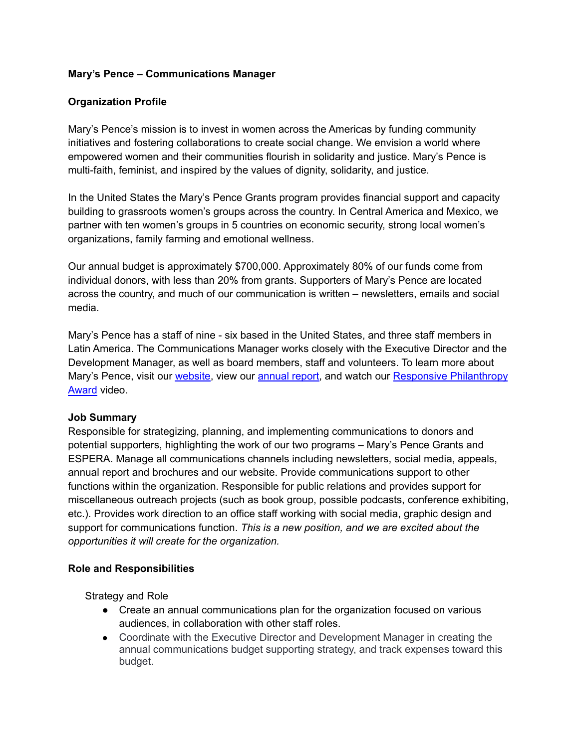## **Mary's Pence – Communications Manager**

## **Organization Profile**

Mary's Pence's mission is to invest in women across the Americas by funding community initiatives and fostering collaborations to create social change. We envision a world where empowered women and their communities flourish in solidarity and justice. Mary's Pence is multi-faith, feminist, and inspired by the values of dignity, solidarity, and justice.

In the United States the Mary's Pence Grants program provides financial support and capacity building to grassroots women's groups across the country. In Central America and Mexico, we partner with ten women's groups in 5 countries on economic security, strong local women's organizations, family farming and emotional wellness.

Our annual budget is approximately \$700,000. Approximately 80% of our funds come from individual donors, with less than 20% from grants. Supporters of Mary's Pence are located across the country, and much of our communication is written – newsletters, emails and social media.

Mary's Pence has a staff of nine - six based in the United States, and three staff members in Latin America. The Communications Manager works closely with the Executive Director and the Development Manager, as well as board members, staff and volunteers. To learn more about Mary's Pence, visit our [website,](http://www.maryspence.org) view our [annual](https://www.maryspence.org/about/financials/) report, and watch our Responsive [Philanthropy](https://www.youtube.com/watch?v=6sC6hJBzf24&t=2s) [Award](https://www.youtube.com/watch?v=6sC6hJBzf24&t=2s) video.

### **Job Summary**

Responsible for strategizing, planning, and implementing communications to donors and potential supporters, highlighting the work of our two programs – Mary's Pence Grants and ESPERA. Manage all communications channels including newsletters, social media, appeals, annual report and brochures and our website. Provide communications support to other functions within the organization. Responsible for public relations and provides support for miscellaneous outreach projects (such as book group, possible podcasts, conference exhibiting, etc.). Provides work direction to an office staff working with social media, graphic design and support for communications function. *This is a new position, and we are excited about the opportunities it will create for the organization.*

### **Role and Responsibilities**

Strategy and Role

- Create an annual communications plan for the organization focused on various audiences, in collaboration with other staff roles.
- Coordinate with the Executive Director and Development Manager in creating the annual communications budget supporting strategy, and track expenses toward this budget.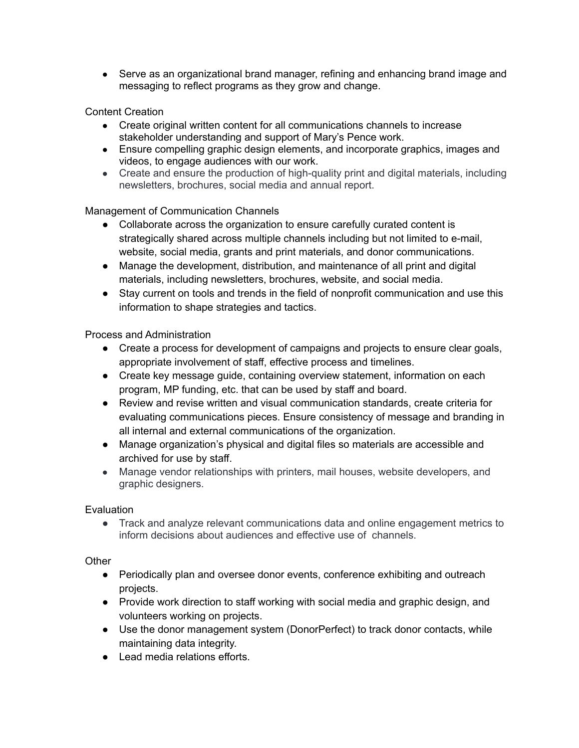• Serve as an organizational brand manager, refining and enhancing brand image and messaging to reflect programs as they grow and change.

# Content Creation

- Create original written content for all communications channels to increase stakeholder understanding and support of Mary's Pence work.
- Ensure compelling graphic design elements, and incorporate graphics, images and videos, to engage audiences with our work.
- Create and ensure the production of high-quality print and digital materials, including newsletters, brochures, social media and annual report.

### Management of Communication Channels

- Collaborate across the organization to ensure carefully curated content is strategically shared across multiple channels including but not limited to e-mail, website, social media, grants and print materials, and donor communications.
- Manage the development, distribution, and maintenance of all print and digital materials, including newsletters, brochures, website, and social media.
- Stay current on tools and trends in the field of nonprofit communication and use this information to shape strategies and tactics.

## Process and Administration

- Create a process for development of campaigns and projects to ensure clear goals, appropriate involvement of staff, effective process and timelines.
- Create key message guide, containing overview statement, information on each program, MP funding, etc. that can be used by staff and board.
- Review and revise written and visual communication standards, create criteria for evaluating communications pieces. Ensure consistency of message and branding in all internal and external communications of the organization.
- Manage organization's physical and digital files so materials are accessible and archived for use by staff.
- Manage vendor relationships with printers, mail houses, website developers, and graphic designers.

### **Evaluation**

● Track and analyze relevant communications data and online engagement metrics to inform decisions about audiences and effective use of channels.

### **Other**

- Periodically plan and oversee donor events, conference exhibiting and outreach projects.
- Provide work direction to staff working with social media and graphic design, and volunteers working on projects.
- Use the donor management system (DonorPerfect) to track donor contacts, while maintaining data integrity.
- Lead media relations efforts.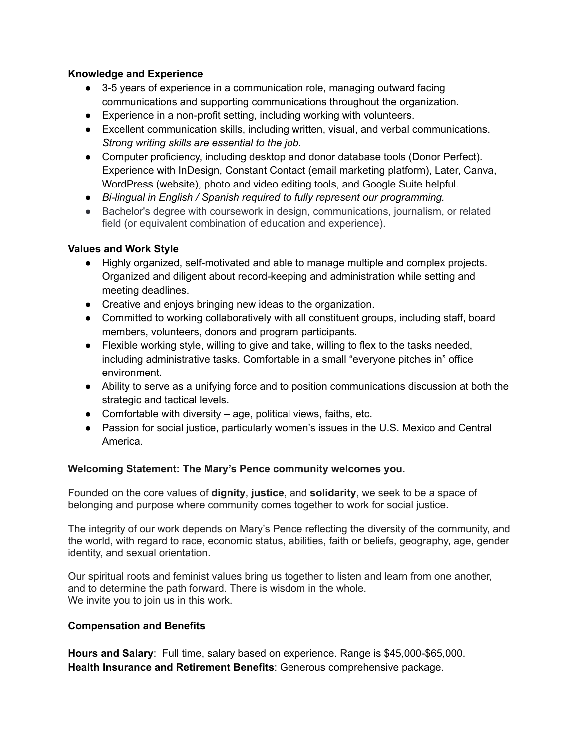## **Knowledge and Experience**

- 3-5 years of experience in a communication role, managing outward facing communications and supporting communications throughout the organization.
- Experience in a non-profit setting, including working with volunteers.
- *●* Excellent communication skills, including written, visual, and verbal communications. *Strong writing skills are essential to the job.*
- Computer proficiency, including desktop and donor database tools (Donor Perfect). Experience with InDesign, Constant Contact (email marketing platform), Later, Canva, WordPress (website), photo and video editing tools, and Google Suite helpful.
- *● Bi-lingual in English / Spanish required to fully represent our programming.*
- Bachelor's degree with coursework in design, communications, journalism, or related field (or equivalent combination of education and experience).

## **Values and Work Style**

- Highly organized, self-motivated and able to manage multiple and complex projects. Organized and diligent about record-keeping and administration while setting and meeting deadlines.
- Creative and enjoys bringing new ideas to the organization.
- Committed to working collaboratively with all constituent groups, including staff, board members, volunteers, donors and program participants.
- Flexible working style, willing to give and take, willing to flex to the tasks needed, including administrative tasks. Comfortable in a small "everyone pitches in" office environment.
- Ability to serve as a unifying force and to position communications discussion at both the strategic and tactical levels.
- Comfortable with diversity age, political views, faiths, etc.
- Passion for social justice, particularly women's issues in the U.S. Mexico and Central America.

### **Welcoming Statement: The Mary's Pence community welcomes you.**

Founded on the core values of **dignity**, **justice**, and **solidarity**, we seek to be a space of belonging and purpose where community comes together to work for social justice.

The integrity of our work depends on Mary's Pence reflecting the diversity of the community, and the world, with regard to race, economic status, abilities, faith or beliefs, geography, age, gender identity, and sexual orientation.

Our spiritual roots and feminist values bring us together to listen and learn from one another, and to determine the path forward. There is wisdom in the whole. We invite you to join us in this work.

### **Compensation and Benefits**

**Hours and Salary**: Full time, salary based on experience. Range is \$45,000-\$65,000. **Health Insurance and Retirement Benefits**: Generous comprehensive package.